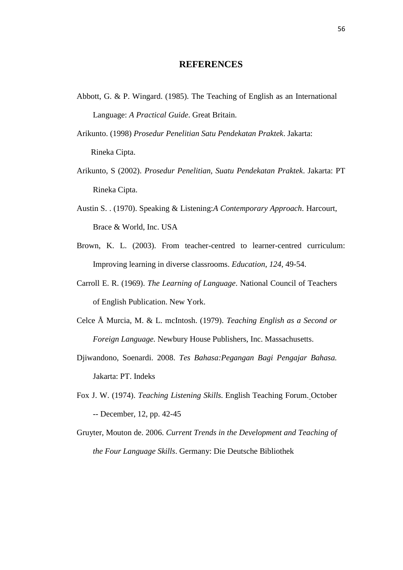## **REFERENCES**

- Abbott, G. & P. Wingard. (1985). The Teaching of English as an International Language: *A Practical Guide*. Great Britain.
- Arikunto. (1998) *Prosedur Penelitian Satu Pendekatan Praktek*. Jakarta: Rineka Cipta.
- Arikunto, S (2002). *Prosedur Penelitian, Suatu Pendekatan Praktek*. Jakarta: PT Rineka Cipta.
- Austin S. . (1970). Speaking & Listening:*A Contemporary Approach*. Harcourt, Brace & World, Inc. USA
- Brown, K. L. (2003). From teacher-centred to learner-centred curriculum: Improving learning in diverse classrooms. *Education*, *124*, 49-54.
- Carroll E. R. (1969). *The Learning of Language*. National Council of Teachers of English Publication. New York.
- Celce Å Murcia, M. & L. mcIntosh. (1979). *Teaching English as a Second or Foreign Language.* Newbury House Publishers, Inc. Massachusetts.
- Djiwandono, Soenardi. 2008. *Tes Bahasa:Pegangan Bagi Pengajar Bahasa.* Jakarta: PT. Indeks
- Fox J. W. (1974). *Teaching Listening Skills.* English Teaching Forum. October -- December, 12, pp. 42-45
- Gruyter, Mouton de. 2006. *Current Trends in the Development and Teaching of the Four Language Skills*. Germany: Die Deutsche Bibliothek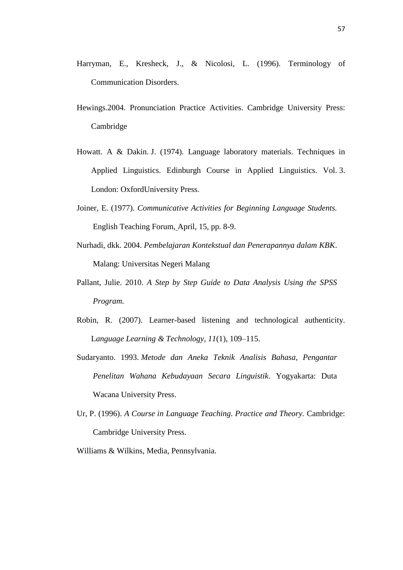- Harryman, E., Kresheck, J., & Nicolosi, L. (1996). Terminology of Communication Disorders.
- Hewings.2004. Pronunciation Practice Activities. Cambridge University Press: Cambridge
- Howatt. A & Dakin. J. (1974). Language laboratory materials. Techniques in Applied Linguistics. Edinburgh Course in Applied Linguistics. Vol. 3. London: OxfordUniversity Press.
- Joiner, E. (1977). *Communicative Activities for Beginning Language Students.* English Teaching Forum, April, 15, pp. 8-9.
- Nurhadi, dkk. 2004. *Pembelajaran Kontekstual dan Penerapannya dalam KBK*. Malang: Universitas Negeri Malang
- Pallant, Julie. 2010. *A Step by Step Guide to Data Analysis Using the SPSS Program.*
- Robin, R. (2007). Learner-based listening and technological authenticity. L*anguage Learning & Technology, 11*(1), 109–115.
- Sudaryanto. 1993. *Metode dan Aneka Teknik Analisis Bahasa, Pengantar Penelitan Wahana Kebudayaan Secara Linguistik*. Yogyakarta: Duta Wacana University Press.
- Ur, P. (1996). *A Course in Language Teaching. Practice and Theory.* Cambridge: Cambridge University Press.

Williams & Wilkins, Media, Pennsylvania.